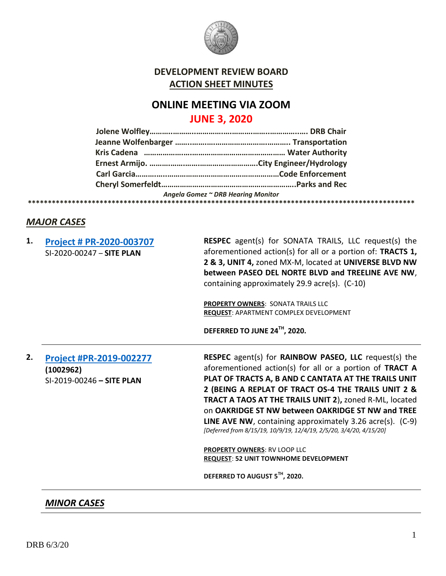

## **DEVELOPMENT REVIEW BOARD ACTION SHEET MINUTES**

# **ONLINE MEETING VIA ZOOM JUNE 3, 2020**

|  | Angela Gomez ~ DRB Hearing Monitor |  |
|--|------------------------------------|--|
|  |                                    |  |

### *MAJOR CASES*

| 1. | Project # PR-2020-003707<br>SI-2020-00247 - SITE PLAN             | RESPEC agent(s) for SONATA TRAILS, LLC request(s) the<br>aforementioned action(s) for all or a portion of: TRACTS 1,<br>2 & 3, UNIT 4, zoned MX-M, located at UNIVERSE BLVD NW<br>between PASEO DEL NORTE BLVD and TREELINE AVE NW,<br>containing approximately 29.9 acre(s). (C-10)                                                                                                                                                                                                                                  |
|----|-------------------------------------------------------------------|-----------------------------------------------------------------------------------------------------------------------------------------------------------------------------------------------------------------------------------------------------------------------------------------------------------------------------------------------------------------------------------------------------------------------------------------------------------------------------------------------------------------------|
|    |                                                                   | PROPERTY OWNERS: SONATA TRAILS LLC<br><b>REQUEST: APARTMENT COMPLEX DEVELOPMENT</b>                                                                                                                                                                                                                                                                                                                                                                                                                                   |
|    |                                                                   | DEFERRED TO JUNE 24TH, 2020.                                                                                                                                                                                                                                                                                                                                                                                                                                                                                          |
| 2. | Project #PR-2019-002277<br>(1002962)<br>SI-2019-00246 - SITE PLAN | <b>RESPEC</b> agent(s) for <b>RAINBOW PASEO, LLC</b> request(s) the<br>aforementioned action(s) for all or a portion of TRACT A<br>PLAT OF TRACTS A, B AND C CANTATA AT THE TRAILS UNIT<br>2 (BEING A REPLAT OF TRACT OS-4 THE TRAILS UNIT 2 &<br><b>TRACT A TAOS AT THE TRAILS UNIT 2), zoned R-ML, located</b><br>on OAKRIDGE ST NW between OAKRIDGE ST NW and TREE<br><b>LINE AVE NW</b> , containing approximately 3.26 $\arccos 0$ . (C-9)<br>[Deferred from 8/15/19, 10/9/19, 12/4/19, 2/5/20, 3/4/20, 4/15/20] |
|    |                                                                   | <b>PROPERTY OWNERS: RV LOOP LLC</b><br><b>REQUEST: 52 UNIT TOWNHOME DEVELOPMENT</b>                                                                                                                                                                                                                                                                                                                                                                                                                                   |
|    |                                                                   | DEFERRED TO AUGUST 5TH, 2020.                                                                                                                                                                                                                                                                                                                                                                                                                                                                                         |

*MINOR CASES*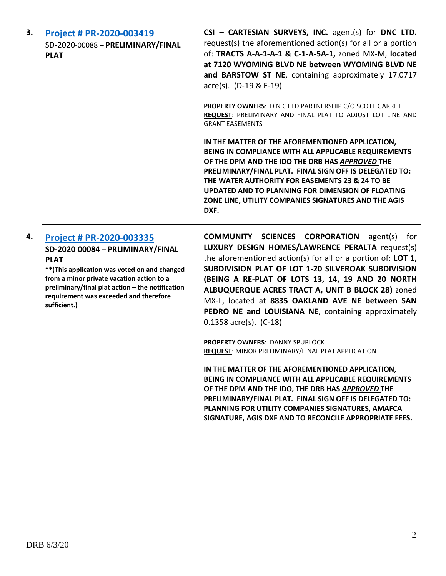**3. [Project # PR-2020-003419](http://data.cabq.gov/government/planning/DRB/PR-2020-003419/DRB%20Submittals/PR-2020-003419_Jun_03_2020/Application/DRB%20FP%20Cartesian%20PR-2020-003419%20SIGNED%20COPY.pdf)** SD-2020-00088 **– PRELIMINARY/FINAL PLAT**

**CSI – CARTESIAN SURVEYS, INC.** agent(s) for **DNC LTD.** request(s) the aforementioned action(s) for all or a portion of: **TRACTS A-A-1-A-1 & C-1-A-5A-1,** zoned MX-M, **located at 7120 WYOMING BLVD NE between WYOMING BLVD NE and BARSTOW ST NE**, containing approximately 17.0717 acre(s). (D-19 & E-19)

**PROPERTY OWNERS**: D N C LTD PARTNERSHIP C/O SCOTT GARRETT **REQUEST**: PRELIMINARY AND FINAL PLAT TO ADJUST LOT LINE AND GRANT EASEMENTS

**IN THE MATTER OF THE AFOREMENTIONED APPLICATION, BEING IN COMPLIANCE WITH ALL APPLICABLE REQUIREMENTS OF THE DPM AND THE IDO THE DRB HAS** *APPROVED* **THE PRELIMINARY/FINAL PLAT. FINAL SIGN OFF IS DELEGATED TO: THE WATER AUTHORITY FOR EASEMENTS 23 & 24 TO BE UPDATED AND TO PLANNING FOR DIMENSION OF FLOATING ZONE LINE, UTILITY COMPANIES SIGNATURES AND THE AGIS DXF.**

#### **4. [Project # PR-2020-003335](http://data.cabq.gov/government/planning/DRB/PR-2020-003335/DRB%20Submittals/PR-2020-003335_June_3_2020/Application/Vacation%20Plat%20for%20Lot%201%20Silver%20Oak%20Subdivision.pdf) SD-2020**-**00084** – **PRLIMINARY/FINAL PLAT**

**\*\*(This application was voted on and changed from a minor private vacation action to a preliminary/final plat action – the notification requirement was exceeded and therefore sufficient.)**

**COMMUNITY SCIENCES CORPORATION** agent(s) for **LUXURY DESIGN HOMES/LAWRENCE PERALTA** request(s) the aforementioned action(s) for all or a portion of: L**OT 1, SUBDIVISION PLAT OF LOT 1-20 SILVEROAK SUBDIVISION (BEING A RE-PLAT OF LOTS 13, 14, 19 AND 20 NORTH ALBUQUERQUE ACRES TRACT A, UNIT B BLOCK 28)** zoned MX-L, located at **8835 OAKLAND AVE NE between SAN PEDRO NE and LOUISIANA NE**, containing approximately 0.1358 acre(s). (C-18)

**PROPERTY OWNERS**: DANNY SPURLOCK **REQUEST**: MINOR PRELIMINARY/FINAL PLAT APPLICATION

**IN THE MATTER OF THE AFOREMENTIONED APPLICATION, BEING IN COMPLIANCE WITH ALL APPLICABLE REQUIREMENTS OF THE DPM AND THE IDO, THE DRB HAS** *APPROVED* **THE PRELIMINARY/FINAL PLAT. FINAL SIGN OFF IS DELEGATED TO: PLANNING FOR UTILITY COMPANIES SIGNATURES, AMAFCA SIGNATURE, AGIS DXF AND TO RECONCILE APPROPRIATE FEES.**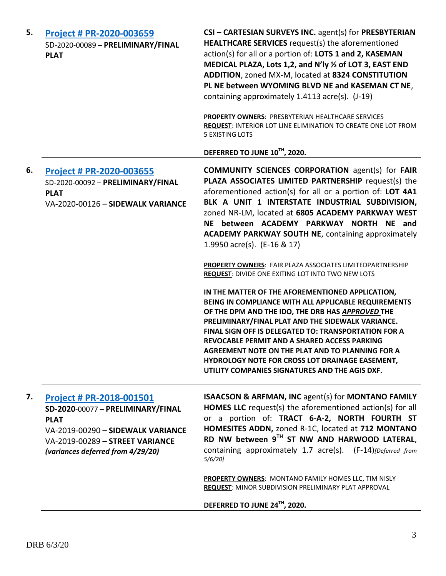| 5. | Project # PR-2020-003659<br>SD-2020-00089 - PRELIMINARY/FINAL<br><b>PLAT</b>                                                                                                                     | CSI - CARTESIAN SURVEYS INC. agent(s) for PRESBYTERIAN<br>HEALTHCARE SERVICES request(s) the aforementioned<br>action(s) for all or a portion of: LOTS 1 and 2, KASEMAN<br>MEDICAL PLAZA, Lots 1,2, and N'ly 1/2 of LOT 3, EAST END<br>ADDITION, zoned MX-M, located at 8324 CONSTITUTION<br>PL NE between WYOMING BLVD NE and KASEMAN CT NE,<br>containing approximately 1.4113 acre(s). (J-19)                                                                                   |
|----|--------------------------------------------------------------------------------------------------------------------------------------------------------------------------------------------------|------------------------------------------------------------------------------------------------------------------------------------------------------------------------------------------------------------------------------------------------------------------------------------------------------------------------------------------------------------------------------------------------------------------------------------------------------------------------------------|
|    |                                                                                                                                                                                                  | <b>PROPERTY OWNERS: PRESBYTERIAN HEALTHCARE SERVICES</b><br>REQUEST: INTERIOR LOT LINE ELIMINATION TO CREATE ONE LOT FROM<br><b>5 EXISTING LOTS</b>                                                                                                                                                                                                                                                                                                                                |
|    |                                                                                                                                                                                                  | DEFERRED TO JUNE 10TH, 2020.                                                                                                                                                                                                                                                                                                                                                                                                                                                       |
| 6. | Project # PR-2020-003655<br>SD-2020-00092 - PRELIMINARY/FINAL<br><b>PLAT</b><br>VA-2020-00126 - SIDEWALK VARIANCE                                                                                | <b>COMMUNITY SCIENCES CORPORATION agent(s) for FAIR</b><br>PLAZA ASSOCIATES LIMITED PARTNERSHIP request(s) the<br>aforementioned action(s) for all or a portion of: LOT 4A1<br>BLK A UNIT 1 INTERSTATE INDUSTRIAL SUBDIVISION,<br>zoned NR-LM, located at 6805 ACADEMY PARKWAY WEST<br>NE between ACADEMY PARKWAY NORTH NE and<br><b>ACADEMY PARKWAY SOUTH NE, containing approximately</b><br>1.9950 acre(s). (E-16 & 17)                                                         |
|    |                                                                                                                                                                                                  | <b>PROPERTY OWNERS: FAIR PLAZA ASSOCIATES LIMITEDPARTNERSHIP</b><br>REQUEST: DIVIDE ONE EXITING LOT INTO TWO NEW LOTS                                                                                                                                                                                                                                                                                                                                                              |
|    |                                                                                                                                                                                                  | IN THE MATTER OF THE AFOREMENTIONED APPLICATION,<br>BEING IN COMPLIANCE WITH ALL APPLICABLE REQUIREMENTS<br>OF THE DPM AND THE IDO, THE DRB HAS APPROVED THE<br>PRELIMINARY/FINAL PLAT AND THE SIDEWALK VARIANCE.<br>FINAL SIGN OFF IS DELEGATED TO: TRANSPORTATION FOR A<br>REVOCABLE PERMIT AND A SHARED ACCESS PARKING<br>AGREEMENT NOTE ON THE PLAT AND TO PLANNING FOR A<br>HYDROLOGY NOTE FOR CROSS LOT DRAINAGE EASEMENT,<br>UTILITY COMPANIES SIGNATURES AND THE AGIS DXF. |
| 7. | <b>Project # PR-2018-001501</b><br>SD-2020-00077 - PRELIMINARY/FINAL<br><b>PLAT</b><br>VA-2019-00290 - SIDEWALK VARIANCE<br>VA-2019-00289 - STREET VARIANCE<br>(variances deferred from 4/29/20) | <b>ISAACSON &amp; ARFMAN, INC agent(s) for MONTANO FAMILY</b><br><b>HOMES LLC</b> request(s) the aforementioned action(s) for all<br>or a portion of: TRACT 6-A-2, NORTH FOURTH ST<br>HOMESITES ADDN, zoned R-1C, located at 712 MONTANO<br>RD NW between 9TH ST NW AND HARWOOD LATERAL,<br>containing approximately 1.7 acre(s). (F-14)[Deferred from<br>$5/6/20$ ]                                                                                                               |
|    |                                                                                                                                                                                                  | PROPERTY OWNERS: MONTANO FAMILY HOMES LLC, TIM NISLY<br>REQUEST: MINOR SUBDIVISION PRELIMINARY PLAT APPROVAL                                                                                                                                                                                                                                                                                                                                                                       |
|    |                                                                                                                                                                                                  | DEFERRED TO JUNE 24TH, 2020.                                                                                                                                                                                                                                                                                                                                                                                                                                                       |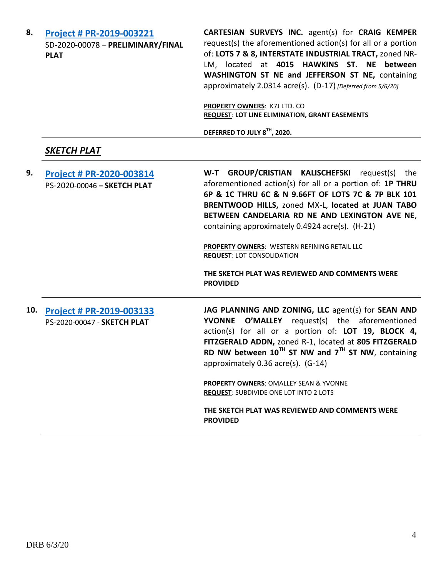| 8.  | Project # PR-2019-003221<br>SD-2020-00078 - PRELIMINARY/FINAL<br><b>PLAT</b> | CARTESIAN SURVEYS INC. agent(s) for CRAIG KEMPER<br>request(s) the aforementioned action(s) for all or a portion<br>of: LOTS 7 & 8, INTERSTATE INDUSTRIAL TRACT, zoned NR-<br>LM, located at 4015 HAWKINS ST. NE between<br>WASHINGTON ST NE and JEFFERSON ST NE, containing<br>approximately 2.0314 acre(s). (D-17) [Deferred from 5/6/20]                                                                                                                                                                |
|-----|------------------------------------------------------------------------------|------------------------------------------------------------------------------------------------------------------------------------------------------------------------------------------------------------------------------------------------------------------------------------------------------------------------------------------------------------------------------------------------------------------------------------------------------------------------------------------------------------|
|     |                                                                              | PROPERTY OWNERS: K7J LTD. CO<br><b>REQUEST: LOT LINE ELIMINATION, GRANT EASEMENTS</b><br>DEFERRED TO JULY 8TH, 2020.                                                                                                                                                                                                                                                                                                                                                                                       |
|     | <u>SKETCH PLAT</u>                                                           |                                                                                                                                                                                                                                                                                                                                                                                                                                                                                                            |
| 9.  | Project # PR-2020-003814<br>PS-2020-00046 - SKETCH PLAT                      | W-T GROUP/CRISTIAN KALISCHEFSKI request(s)<br>the<br>aforementioned action(s) for all or a portion of: 1P THRU<br>6P & 1C THRU 6C & N 9.66FT OF LOTS 7C & 7P BLK 101<br>BRENTWOOD HILLS, zoned MX-L, located at JUAN TABO<br>BETWEEN CANDELARIA RD NE AND LEXINGTON AVE NE,<br>containing approximately 0.4924 acre(s). (H-21)<br>PROPERTY OWNERS: WESTERN REFINING RETAIL LLC<br><b>REQUEST: LOT CONSOLIDATION</b><br>THE SKETCH PLAT WAS REVIEWED AND COMMENTS WERE<br><b>PROVIDED</b>                   |
| 10. | Project # PR-2019-003133<br>PS-2020-00047 - SKETCH PLAT                      | JAG PLANNING AND ZONING, LLC agent(s) for SEAN AND<br><b>O'MALLEY</b> request(s) the aforementioned<br><b>YVONNE</b><br>action(s) for all or a portion of: LOT 19, BLOCK 4,<br>FITZGERALD ADDN, zoned R-1, located at 805 FITZGERALD<br>RD NW between $10^{TH}$ ST NW and $7^{TH}$ ST NW, containing<br>approximately 0.36 acre(s). (G-14)<br>PROPERTY OWNERS: OMALLEY SEAN & YVONNE<br><b>REQUEST: SUBDIVIDE ONE LOT INTO 2 LOTS</b><br>THE SKETCH PLAT WAS REVIEWED AND COMMENTS WERE<br><b>PROVIDED</b> |